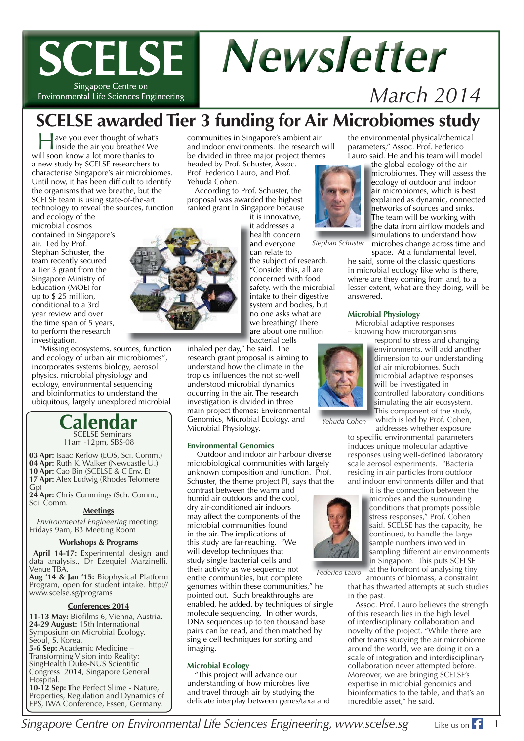# **SCELSE Newsletter**

Singapore Centre on Environmental Life Sciences Engineering *March 2014*

# **SCELSE awarded Tier 3 funding for Air Microbiomes study**

Have you ever thought of what's inside the air you breathe? We will soon know a lot more thanks to a new study by SCELSE researchers to characterise Singapore's air microbiomes. Until now, it has been difficult to identify the organisms that we breathe, but the SCELSE team is using state-of-the-art technology to reveal the sources, function

and ecology of the microbial cosmos contained in Singapore's air. Led by Prof. Stephan Schuster, the team recently secured a Tier 3 grant from the Singapore Ministry of Education (MOE) for up to \$ 25 million, conditional to a 3rd year review and over the time span of 5 years, to perform the research investigation.

"Missing ecosystems, sources, function and ecology of urban air microbiomes", incorporates systems biology, aerosol physics, microbial physiology and ecology, environmental sequencing and bioinformatics to understand the ubiquitous, largely unexplored microbial

> **Calendar** SCELSE Seminars 11am -12pm, SBS-08

**03 Apr:** Isaac Kerlow (EOS, Sci. Comm.) **04 Apr:** Ruth K. Walker (Newcastle U.) **10 Apr: Cao Bin (SCELSE & C Env. E) 17 Apr:** Alex Ludwig (Rhodes Telomere Gp)

**24 Apr:** Chris Cummings (Sch. Comm., Sci. Comm.

#### **Meetings**

*Environmental Engineering* meeting: Fridays 9am, B3 Meeting Room

#### **Workshops & Programs**

**April 14-17:** Experimental design and data analysis., Dr Ezequiel Marzinelli. Venue TBA.

**Aug '14 & Jan '15:** Biophysical Platform Program, open for student intake. http:// www.scelse.sg/programs

#### **Conferences 2014**

11-13 May: Biofilms 6, Vienna, Austria. **24-29 August:** 15th International Symposium on Microbial Ecology. Seoul, S. Korea. **5-6 Sep:** Academic Medicine – Transforming Vision into Reality: SingHealth Duke-NUS Scientific Congress 2014, Singapore General Hospital. **10-12 Sep: T**he Perfect Slime - Nature,

Properties, Regulation and Dynamics of EPS, IWA Conference, Essen, Germany.

communities in Singapore's ambient air and indoor environments. The research will be divided in three major project themes headed by Prof. Schuster, Assoc. Prof. Federico Lauro, and Prof.

Yehuda Cohen.

According to Prof. Schuster, the proposal was awarded the highest ranked grant in Singapore because

it addresses a i health concern h and everyone a

can relate to c the subject of research. t "Consider this, all are " concerned with food c safety, with the microbial intake to their digestive system and bodies, but s no one asks what are n we breathing? There w are about one million a bacterial cells b

inhaled per day," he said. The research grant proposal is aiming to understand how the climate in the tropics influences the not so-well understood microbial dynamics occurring in the air. The research investigation is divided in three main project themes: Environmental Genomics, Microbial Ecology, and Microbial Physiology.

#### **Environmental Genomics**

 Outdoor and indoor air harbour diverse microbiological communities with largely unknown composition and function. Prof. Schuster, the theme project PI, says that the

contrast between the warm and humid air outdoors and the cool, dry air-conditioned air indoors may affect the components of the microbial communities found in the air. The implications of this study are far-reaching. "We will develop techniques that study single bacterial cells and their activity as we sequence not

entire communities, but complete genomes within these communities," he pointed out. Such breakthroughs are enabled, he added, by techniques of single molecule sequencing. In other words, DNA sequences up to ten thousand base pairs can be read, and then matched by single cell techniques for sorting and imaging. *Federico Lauro* 

#### **Microbial Ecology**

"This project will advance our understanding of how microbes live and travel through air by studying the delicate interplay between genes/taxa and the environmental physical/chemical parameters," Assoc. Prof. Federico Lauro said. He and his team will model

> the global ecology of the air th microbiomes. They will assess the m ecology of outdoor and indoor e air microbiomes, which is best a explained as dynamic, connected e networks of sources and sinks. n The team will be working with T the data from airflow models and simulations to understand how s microbes change across time and

space. At a fundamental level,

he said, some of the classic questions in microbial ecology like who is there, where are they coming from and, to a lesser extent, what are they doing, will be answered.

#### **Microbial Physiology**

Microbial adaptive responses – knowing how microorganisms

respond to stress and changing re environments, will add another e dimension to our understanding d of air microbiomes. Such o microbial adaptive responses m will be investigated in w controlled laboratory conditions c simulating the air ecosystem. s This component of the study, T which is led by Prof. Cohen,

*Yehuda Cohen* 

addresses whether exposure to specific environmental parameters induces unique molecular adaptive responses using well-defined laboratory scale aerosol experiments. "Bacteria residing in air particles from outdoor and indoor environments differ and that

it is the connection between the microbes and the surrounding m conditions that prompts possible c stress responses," Prof. Cohen said. SCELSE has the capacity, he continued, to handle the large c sample numbers involved in sa sampling different air environments sa in Singapore. This puts SCELSE in at the forefront of analysing tiny a

amounts of biomass, a constraint that has thwarted attempts at such studies in the past.

Assoc. Prof. Lauro believes the strength of this research lies in the high level of interdisciplinary collaboration and novelty of the project. "While there are other teams studying the air microbiome around the world, we are doing it on a scale of integration and interdisciplinary collaboration never attempted before. Moreover, we are bringing SCELSE's expertise in microbial genomics and bioinformatics to the table, and that's an incredible asset," he said.



it is innovative,

*Stephan Schuster* 



*Singapore Centre on Environmental Life Sciences Engineering, www.scelse.sg* 1